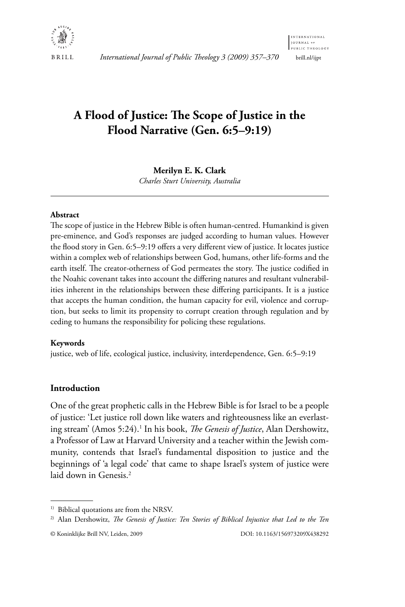

International Journal of Public Theology 3 (2009) 357-370

# A Flood of Justice: The Scope of Justice in the Flood Narrative (Gen. 6:5–9:19)

Merilyn E. K. Clark

Charles Sturt University, Australia

## Abstract

The scope of justice in the Hebrew Bible is often human-centred. Humankind is given pre-eminence, and God's responses are judged according to human values. However the flood story in Gen. 6:5-9:19 offers a very different view of justice. It locates justice within a complex web of relationships between God, humans, other life-forms and the earth itself. The creator-otherness of God permeates the story. The justice codified in the Noahic covenant takes into account the differing natures and resultant vulnerabilities inherent in the relationships between these differing participants. It is a justice that accepts the human condition, the human capacity for evil, violence and corruption, but seeks to limit its propensity to corrupt creation through regulation and by ceding to humans the responsibility for policing these regulations.

# Keywords

justice, web of life, ecological justice, inclusivity, interdependence, Gen. 6:5-9:19

# **Introduction**

One of the great prophetic calls in the Hebrew Bible is for Israel to be a people of justice: 'Let justice roll down like waters and righteousness like an everlasting stream' (Amos 5:24).<sup>1</sup> In his book, *The Genesis of Justice*, Alan Dershowitz, a Professor of Law at Harvard University and a teacher within the Jewish community, contends that Israel's fundamental disposition to justice and the beginnings of 'a legal code' that came to shape Israel's system of justice were laid down in Genesis.<sup>2</sup>

<sup>&</sup>lt;sup>1)</sup> Biblical quotations are from the NRSV.

<sup>&</sup>lt;sup>2)</sup> Alan Dershowitz, The Genesis of Justice: Ten Stories of Biblical Injustice that Led to the Ten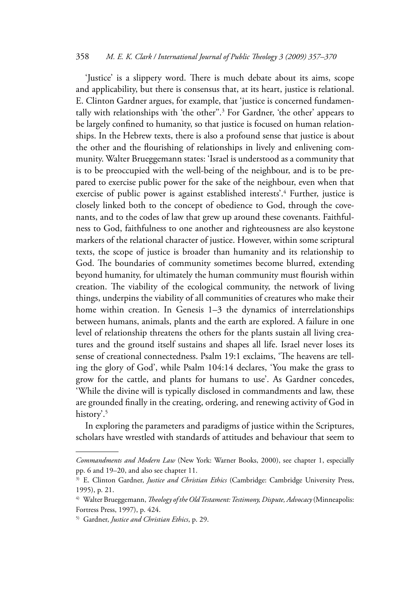'Justice' is a slippery word. There is much debate about its aims, scope and applicability, but there is consensus that, at its heart, justice is relational. E. Clinton Gardner argues, for example, that 'justice is concerned fundamentally with relationships with 'the other".<sup>3</sup> For Gardner, 'the other' appears to be largely confined to humanity, so that justice is focused on human relationships. In the Hebrew texts, there is also a profound sense that justice is about the other and the flourishing of relationships in lively and enlivening community. Walter Brueggemann states: 'Israel is understood as a community that is to be preoccupied with the well-being of the neighbour, and is to be prepared to exercise public power for the sake of the neighbour, even when that exercise of public power is against established interests'.<sup>4</sup> Further, justice is closely linked both to the concept of obedience to God, through the covenants, and to the codes of law that grew up around these covenants. Faithfulness to God, faithfulness to one another and righteousness are also keystone markers of the relational character of justice. However, within some scriptural texts, the scope of justice is broader than humanity and its relationship to God. The boundaries of community sometimes become blurred, extending beyond humanity, for ultimately the human community must flourish within creation. The viability of the ecological community, the network of living things, underpins the viability of all communities of creatures who make their home within creation. In Genesis 1-3 the dynamics of interrelationships between humans, animals, plants and the earth are explored. A failure in one level of relationship threatens the others for the plants sustain all living creatures and the ground itself sustains and shapes all life. Israel never loses its sense of creational connectedness. Psalm 19:1 exclaims, 'The heavens are telling the glory of God', while Psalm 104:14 declares, 'You make the grass to grow for the cattle, and plants for humans to use'. As Gardner concedes, 'While the divine will is typically disclosed in commandments and law, these are grounded finally in the creating, ordering, and renewing activity of God in history'.<sup>5</sup>

In exploring the parameters and paradigms of justice within the Scriptures, scholars have wrestled with standards of attitudes and behaviour that seem to

Commandments and Modern Law (New York: Warner Books, 2000), see chapter 1, especially pp. 6 and 19-20, and also see chapter 11.

<sup>&</sup>lt;sup>3)</sup> E. Clinton Gardner, *Justice and Christian Ethics* (Cambridge: Cambridge University Press, 1995), p. 21.

<sup>&</sup>lt;sup>4)</sup> Walter Brueggemann, Theology of the Old Testament: Testimony, Dispute, Advocacy (Minneapolis: Fortress Press, 1997), p. 424.

<sup>&</sup>lt;sup>5)</sup> Gardner, *Justice and Christian Ethics*, p. 29.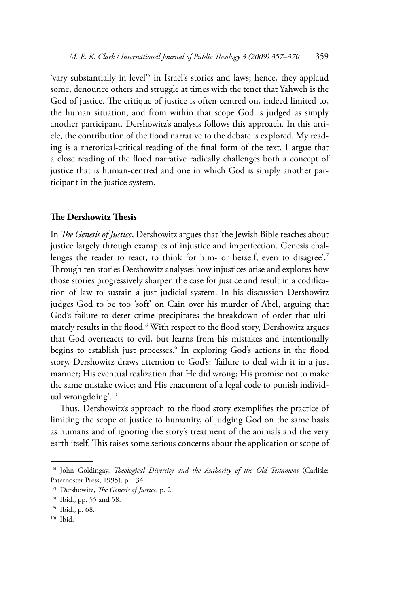'vary substantially in level'<sup>6</sup> in Israel's stories and laws; hence, they applaud some, denounce others and struggle at times with the tenet that Yahweh is the God of justice. The critique of justice is often centred on, indeed limited to, the human situation, and from within that scope God is judged as simply another participant. Dershowitz's analysis follows this approach. In this article, the contribution of the flood narrative to the debate is explored. My reading is a rhetorical-critical reading of the final form of the text. I argue that a close reading of the flood narrative radically challenges both a concept of justice that is human-centred and one in which God is simply another participant in the justice system.

#### The Dershowitz Thesis

In The Genesis of Justice, Dershowitz argues that 'the Jewish Bible teaches about justice largely through examples of injustice and imperfection. Genesis challenges the reader to react, to think for him- or herself, even to disagree'.<sup>7</sup> Through ten stories Dershowitz analyses how injustices arise and explores how those stories progressively sharpen the case for justice and result in a codification of law to sustain a just judicial system. In his discussion Dershowitz judges God to be too 'soft' on Cain over his murder of Abel, arguing that God's failure to deter crime precipitates the breakdown of order that ultimately results in the flood.<sup>8</sup> With respect to the flood story, Dershowitz argues that God overreacts to evil, but learns from his mistakes and intentionally begins to establish just processes.<sup>9</sup> In exploring God's actions in the flood story, Dershowitz draws attention to God's: 'failure to deal with it in a just manner; His eventual realization that He did wrong; His promise not to make the same mistake twice; and His enactment of a legal code to punish individual wrongdoing'.<sup>10</sup>

Thus, Dershowitz's approach to the flood story exemplifies the practice of limiting the scope of justice to humanity, of judging God on the same basis as humans and of ignoring the story's treatment of the animals and the very earth itself. This raises some serious concerns about the application or scope of

<sup>&</sup>lt;sup>6)</sup> John Goldingay, Theological Diversity and the Authority of the Old Testament (Carlisle: Paternoster Press, 1995), p. 134.

<sup>&</sup>lt;sup>7)</sup> Dershowitz, *The Genesis of Justice*, p. 2.

<sup>&</sup>lt;sup>8)</sup> Ibid., pp. 55 and 58.

 $9)$  Ibid., p. 68.

 $10)$  Ibid.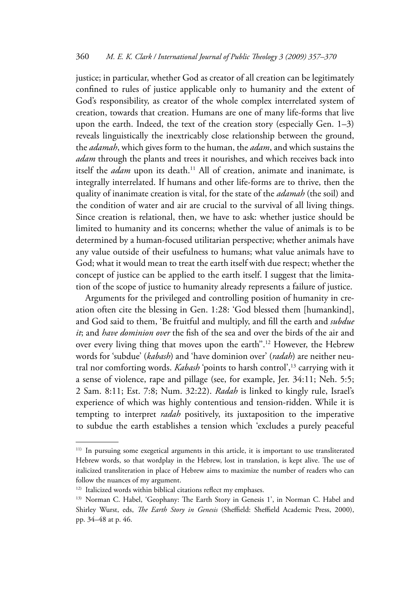justice; in particular, whether God as creator of all creation can be legitimately confined to rules of justice applicable only to humanity and the extent of God's responsibility, as creator of the whole complex interrelated system of creation, towards that creation. Humans are one of many life-forms that live upon the earth. Indeed, the text of the creation story (especially Gen.  $1-3$ ) reveals linguistically the inextricably close relationship between the ground, the *adamah*, which gives form to the human, the *adam*, and which sustains the adam through the plants and trees it nourishes, and which receives back into itself the *adam* upon its death.<sup>11</sup> All of creation, animate and inanimate, is integrally interrelated. If humans and other life-forms are to thrive, then the quality of inanimate creation is vital, for the state of the *adamah* (the soil) and the condition of water and air are crucial to the survival of all living things. Since creation is relational, then, we have to ask: whether justice should be limited to humanity and its concerns; whether the value of animals is to be determined by a human-focused utilitarian perspective; whether animals have any value outside of their usefulness to humans; what value animals have to God; what it would mean to treat the earth itself with due respect; whether the concept of justice can be applied to the earth itself. I suggest that the limitation of the scope of justice to humanity already represents a failure of justice.

Arguments for the privileged and controlling position of humanity in creation often cite the blessing in Gen. 1:28: 'God blessed them [humankind], and God said to them, 'Be fruitful and multiply, and fill the earth and subdue it; and have dominion over the fish of the sea and over the birds of the air and over every living thing that moves upon the earth".<sup>12</sup> However, the Hebrew words for 'subdue' (kabash) and 'have dominion over' (radah) are neither neutral nor comforting words. Kabash 'points to harsh control',<sup>13</sup> carrying with it a sense of violence, rape and pillage (see, for example, Jer. 34:11; Neh. 5:5; 2 Sam. 8:11; Est. 7:8; Num. 32:22). Radah is linked to kingly rule, Israel's experience of which was highly contentious and tension-ridden. While it is tempting to interpret *radah* positively, its juxtaposition to the imperative to subdue the earth establishes a tension which 'excludes a purely peaceful

<sup>&</sup>lt;sup>11)</sup> In pursuing some exegetical arguments in this article, it is important to use transliterated Hebrew words, so that wordplay in the Hebrew, lost in translation, is kept alive. The use of italicized transliteration in place of Hebrew aims to maximize the number of readers who can follow the nuances of my argument.

<sup>&</sup>lt;sup>12)</sup> Italicized words within biblical citations reflect my emphases.

<sup>&</sup>lt;sup>13)</sup> Norman C. Habel, 'Geophany: The Earth Story in Genesis 1', in Norman C. Habel and Shirley Wurst, eds, The Earth Story in Genesis (Sheffield: Sheffield Academic Press, 2000), pp. 34-48 at p. 46.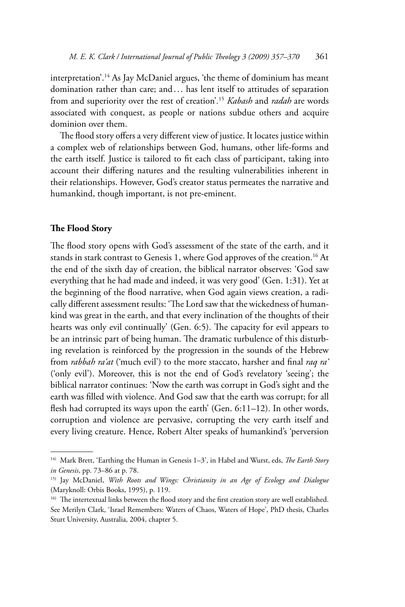interpretation'.<sup>14</sup> As Jay McDaniel argues, 'the theme of dominium has meant domination rather than care; and ... has lent itself to attitudes of separation from and superiority over the rest of creation'.<sup>15</sup> Kabash and radah are words associated with conquest, as people or nations subdue others and acquire dominion over them.

The flood story offers a very different view of justice. It locates justice within a complex web of relationships between God, humans, other life-forms and the earth itself. Justice is tailored to fit each class of participant, taking into account their differing natures and the resulting vulnerabilities inherent in their relationships. However, God's creator status permeates the narrative and humankind, though important, is not pre-eminent.

#### The Flood Story

The flood story opens with God's assessment of the state of the earth, and it stands in stark contrast to Genesis 1, where God approves of the creation.<sup>16</sup> At the end of the sixth day of creation, the biblical narrator observes: 'God saw everything that he had made and indeed, it was very good' (Gen. 1:31). Yet at the beginning of the flood narrative, when God again views creation, a radically different assessment results: 'The Lord saw that the wickedness of humankind was great in the earth, and that every inclination of the thoughts of their hearts was only evil continually' (Gen. 6:5). The capacity for evil appears to be an intrinsic part of being human. The dramatic turbulence of this disturbing revelation is reinforced by the progression in the sounds of the Hebrew from *rabbah ra'at* ('much evil') to the more staccato, harsher and final *raq ra'* ('only evil'). Moreover, this is not the end of God's revelatory 'seeing'; the biblical narrator continues: 'Now the earth was corrupt in God's sight and the earth was filled with violence. And God saw that the earth was corrupt; for all flesh had corrupted its ways upon the earth' (Gen. 6:11-12). In other words, corruption and violence are pervasive, corrupting the very earth itself and every living creature. Hence, Robert Alter speaks of humankind's 'perversion

<sup>&</sup>lt;sup>14)</sup> Mark Brett, 'Earthing the Human in Genesis 1-3', in Habel and Wurst, eds, *The Earth Story* in Genesis, pp. 73-86 at p. 78.

<sup>&</sup>lt;sup>15)</sup> Jay McDaniel, With Roots and Wings: Christianity in an Age of Ecology and Dialogue (Maryknoll: Orbis Books, 1995), p. 119.

<sup>&</sup>lt;sup>16)</sup> The intertextual links between the flood story and the first creation story are well established. See Merilyn Clark, 'Israel Remembers: Waters of Chaos, Waters of Hope', PhD thesis, Charles Sturt University, Australia, 2004, chapter 5.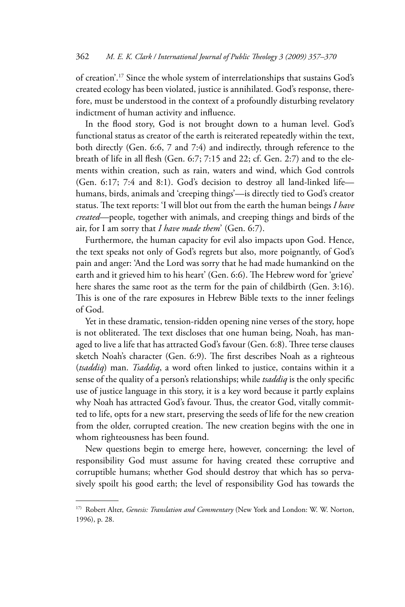of creation'.<sup>17</sup> Since the whole system of interrelationships that sustains God's created ecology has been violated, justice is annihilated. God's response, therefore, must be understood in the context of a profoundly disturbing revelatory indictment of human activity and influence.

In the flood story, God is not brought down to a human level. God's functional status as creator of the earth is reiterated repeatedly within the text, both directly (Gen. 6:6, 7 and 7:4) and indirectly, through reference to the breath of life in all flesh (Gen. 6:7; 7:15 and 22; cf. Gen. 2:7) and to the elements within creation, such as rain, waters and wind, which God controls (Gen. 6:17; 7:4 and 8:1). God's decision to destroy all land-linked lifehumans, birds, animals and 'creeping things'-is directly tied to God's creator status. The text reports: 'I will blot out from the earth the human beings I have created-people, together with animals, and creeping things and birds of the air, for I am sorry that I have made them' (Gen. 6:7).

Furthermore, the human capacity for evil also impacts upon God. Hence, the text speaks not only of God's regrets but also, more poignantly, of God's pain and anger: 'And the Lord was sorry that he had made humankind on the earth and it grieved him to his heart' (Gen. 6:6). The Hebrew word for 'grieve' here shares the same root as the term for the pain of childbirth (Gen. 3:16). This is one of the rare exposures in Hebrew Bible texts to the inner feelings of God.

Yet in these dramatic, tension-ridden opening nine verses of the story, hope is not obliterated. The text discloses that one human being, Noah, has managed to live a life that has attracted God's favour (Gen. 6:8). Three terse clauses sketch Noah's character (Gen. 6:9). The first describes Noah as a righteous (tsaddiq) man. Tsaddiq, a word often linked to justice, contains within it a sense of the quality of a person's relationships; while tsaddiq is the only specific use of justice language in this story, it is a key word because it partly explains why Noah has attracted God's favour. Thus, the creator God, vitally committed to life, opts for a new start, preserving the seeds of life for the new creation from the older, corrupted creation. The new creation begins with the one in whom righteousness has been found.

New questions begin to emerge here, however, concerning: the level of responsibility God must assume for having created these corruptive and corruptible humans; whether God should destroy that which has so pervasively spoilt his good earth; the level of responsibility God has towards the

<sup>&</sup>lt;sup>17)</sup> Robert Alter, *Genesis: Translation and Commentary* (New York and London: W. W. Norton, 1996), p. 28.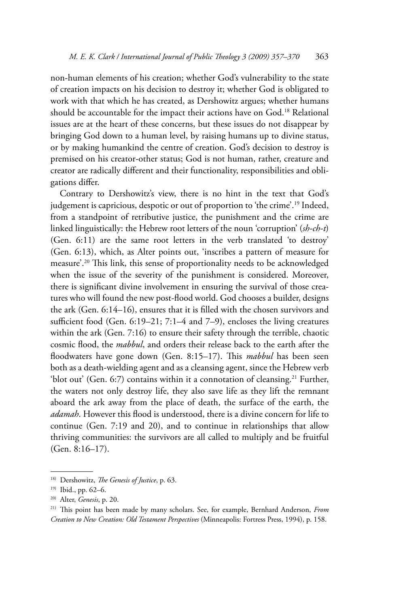non-human elements of his creation; whether God's vulnerability to the state of creation impacts on his decision to destroy it; whether God is obligated to work with that which he has created, as Dershowitz argues; whether humans should be accountable for the impact their actions have on God.<sup>18</sup> Relational issues are at the heart of these concerns, but these issues do not disappear by bringing God down to a human level, by raising humans up to divine status, or by making humankind the centre of creation. God's decision to destroy is premised on his creator-other status; God is not human, rather, creature and creator are radically different and their functionality, responsibilities and obligations differ.

Contrary to Dershowitz's view, there is no hint in the text that God's judgement is capricious, despotic or out of proportion to 'the crime'.<sup>19</sup> Indeed, from a standpoint of retributive justice, the punishment and the crime are linked linguistically: the Hebrew root letters of the noun 'corruption' (sh-ch-t) (Gen. 6:11) are the same root letters in the verb translated 'to destroy' (Gen. 6:13), which, as Alter points out, 'inscribes a pattern of measure for measure'.<sup>20</sup> This link, this sense of proportionality needs to be acknowledged when the issue of the severity of the punishment is considered. Moreover, there is significant divine involvement in ensuring the survival of those creatures who will found the new post-flood world. God chooses a builder, designs the ark (Gen. 6:14-16), ensures that it is filled with the chosen survivors and sufficient food (Gen. 6:19-21; 7:1-4 and 7-9), encloses the living creatures within the ark (Gen. 7:16) to ensure their safety through the terrible, chaotic cosmic flood, the *mabbul*, and orders their release back to the earth after the floodwaters have gone down (Gen. 8:15-17). This mabbul has been seen both as a death-wielding agent and as a cleansing agent, since the Hebrew verb 'blot out' (Gen. 6:7) contains within it a connotation of cleansing.<sup>21</sup> Further, the waters not only destroy life, they also save life as they lift the remnant aboard the ark away from the place of death, the surface of the earth, the adamah. However this flood is understood, there is a divine concern for life to continue (Gen. 7:19 and 20), and to continue in relationships that allow thriving communities: the survivors are all called to multiply and be fruitful (Gen. 8:16-17).

<sup>&</sup>lt;sup>18)</sup> Dershowitz, The Genesis of Justice, p. 63.

<sup>&</sup>lt;sup>19)</sup> Ibid., pp. 62-6.

<sup>&</sup>lt;sup>20)</sup> Alter, Genesis, p. 20.

<sup>&</sup>lt;sup>21)</sup> This point has been made by many scholars. See, for example, Bernhard Anderson, From Creation to New Creation: Old Testament Perspectives (Minneapolis: Fortress Press, 1994), p. 158.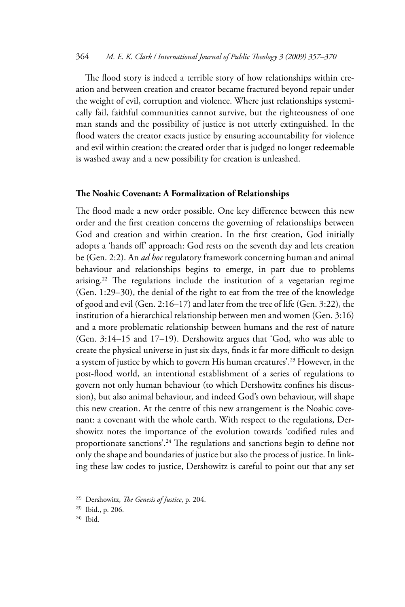The flood story is indeed a terrible story of how relationships within creation and between creation and creator became fractured beyond repair under the weight of evil, corruption and violence. Where just relationships systemically fail, faithful communities cannot survive, but the righteousness of one man stands and the possibility of justice is not utterly extinguished. In the flood waters the creator exacts justice by ensuring accountability for violence and evil within creation: the created order that is judged no longer redeemable is washed away and a new possibility for creation is unleashed.

#### The Noahic Covenant: A Formalization of Relationships

The flood made a new order possible. One key difference between this new order and the first creation concerns the governing of relationships between God and creation and within creation. In the first creation, God initially adopts a 'hands off' approach: God rests on the seventh day and lets creation be (Gen. 2:2). An *ad hoc* regulatory framework concerning human and animal behaviour and relationships begins to emerge, in part due to problems arising.<sup>22</sup> The regulations include the institution of a vegetarian regime (Gen. 1:29-30), the denial of the right to eat from the tree of the knowledge of good and evil (Gen. 2:16-17) and later from the tree of life (Gen. 3:22), the institution of a hierarchical relationship between men and women (Gen. 3:16) and a more problematic relationship between humans and the rest of nature (Gen. 3:14-15 and 17-19). Dershowitz argues that 'God, who was able to create the physical universe in just six days, finds it far more difficult to design a system of justice by which to govern His human creatures'.<sup>23</sup> However, in the post-flood world, an intentional establishment of a series of regulations to govern not only human behaviour (to which Dershowitz confines his discussion), but also animal behaviour, and indeed God's own behaviour, will shape this new creation. At the centre of this new arrangement is the Noahic covenant: a covenant with the whole earth. With respect to the regulations, Dershowitz notes the importance of the evolution towards 'codified rules and proportionate sanctions'.<sup>24</sup> The regulations and sanctions begin to define not only the shape and boundaries of justice but also the process of justice. In linking these law codes to justice, Dershowitz is careful to point out that any set

<sup>&</sup>lt;sup>22)</sup> Dershowitz, The Genesis of Justice, p. 204.

<sup>&</sup>lt;sup>23)</sup> Ibid., p. 206.

 $24)$  Ibid.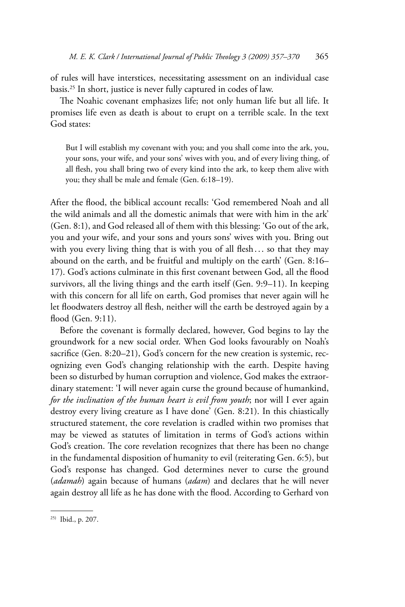of rules will have interstices, necessitating assessment on an individual case basis.<sup>25</sup> In short, justice is never fully captured in codes of law.

The Noahic covenant emphasizes life; not only human life but all life. It promises life even as death is about to erupt on a terrible scale. In the text God states:

But I will establish my covenant with you; and you shall come into the ark, you, your sons, your wife, and your sons' wives with you, and of every living thing, of all flesh, you shall bring two of every kind into the ark, to keep them alive with you; they shall be male and female (Gen. 6:18-19).

After the flood, the biblical account recalls: 'God remembered Noah and all the wild animals and all the domestic animals that were with him in the ark' (Gen. 8:1), and God released all of them with this blessing: 'Go out of the ark, you and your wife, and your sons and yours sons' wives with you. Bring out with you every living thing that is with you of all flesh... so that they may abound on the earth, and be fruitful and multiply on the earth' (Gen. 8:16-17). God's actions culminate in this first covenant between God, all the flood survivors, all the living things and the earth itself (Gen. 9:9-11). In keeping with this concern for all life on earth, God promises that never again will he let floodwaters destroy all flesh, neither will the earth be destroyed again by a flood (Gen. 9:11).

Before the covenant is formally declared, however, God begins to lay the groundwork for a new social order. When God looks favourably on Noah's sacrifice (Gen. 8:20-21), God's concern for the new creation is systemic, recognizing even God's changing relationship with the earth. Despite having been so disturbed by human corruption and violence, God makes the extraordinary statement: 'I will never again curse the ground because of humankind, for the inclination of the human heart is evil from youth; nor will I ever again destroy every living creature as I have done' (Gen. 8:21). In this chiastically structured statement, the core revelation is cradled within two promises that may be viewed as statutes of limitation in terms of God's actions within God's creation. The core revelation recognizes that there has been no change in the fundamental disposition of humanity to evil (reiterating Gen. 6:5), but God's response has changed. God determines never to curse the ground (adamah) again because of humans (adam) and declares that he will never again destroy all life as he has done with the flood. According to Gerhard von

<sup>&</sup>lt;sup>25)</sup> Ibid., p. 207.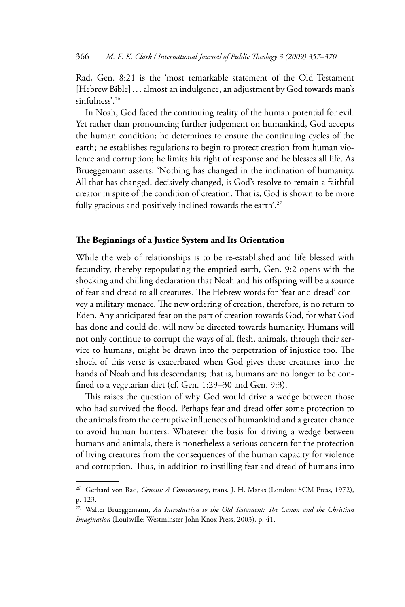Rad, Gen. 8:21 is the 'most remarkable statement of the Old Testament [Hebrew Bible] ... almost an indulgence, an adjustment by God towards man's sinfulness'.<sup>26</sup>

In Noah, God faced the continuing reality of the human potential for evil. Yet rather than pronouncing further judgement on humankind, God accepts the human condition; he determines to ensure the continuing cycles of the earth; he establishes regulations to begin to protect creation from human violence and corruption; he limits his right of response and he blesses all life. As Brueggemann asserts: 'Nothing has changed in the inclination of humanity. All that has changed, decisively changed, is God's resolve to remain a faithful creator in spite of the condition of creation. That is, God is shown to be more fully gracious and positively inclined towards the earth'.<sup>27</sup>

## The Beginnings of a Justice System and Its Orientation

While the web of relationships is to be re-established and life blessed with fecundity, thereby repopulating the emptied earth, Gen. 9:2 opens with the shocking and chilling declaration that Noah and his offspring will be a source of fear and dread to all creatures. The Hebrew words for 'fear and dread' convey a military menace. The new ordering of creation, therefore, is no return to Eden. Any anticipated fear on the part of creation towards God, for what God has done and could do, will now be directed towards humanity. Humans will not only continue to corrupt the ways of all flesh, animals, through their service to humans, might be drawn into the perpetration of injustice too. The shock of this verse is exacerbated when God gives these creatures into the hands of Noah and his descendants; that is, humans are no longer to be confined to a vegetarian diet (cf. Gen. 1:29-30 and Gen. 9:3).

This raises the question of why God would drive a wedge between those who had survived the flood. Perhaps fear and dread offer some protection to the animals from the corruptive influences of humankind and a greater chance to avoid human hunters. Whatever the basis for driving a wedge between humans and animals, there is nonetheless a serious concern for the protection of living creatures from the consequences of the human capacity for violence and corruption. Thus, in addition to instilling fear and dread of humans into

<sup>&</sup>lt;sup>26)</sup> Gerhard von Rad, Genesis: A Commentary, trans. J. H. Marks (London: SCM Press, 1972), p. 123.

<sup>&</sup>lt;sup>27)</sup> Walter Brueggemann, An Introduction to the Old Testament: The Canon and the Christian Imagination (Louisville: Westminster John Knox Press, 2003), p. 41.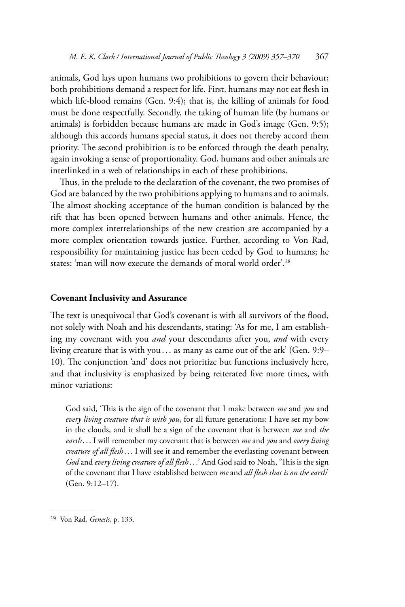animals, God lays upon humans two prohibitions to govern their behaviour; both prohibitions demand a respect for life. First, humans may not eat flesh in which life-blood remains (Gen. 9:4); that is, the killing of animals for food must be done respectfully. Secondly, the taking of human life (by humans or animals) is forbidden because humans are made in God's image (Gen. 9:5); although this accords humans special status, it does not thereby accord them priority. The second prohibition is to be enforced through the death penalty, again invoking a sense of proportionality. God, humans and other animals are interlinked in a web of relationships in each of these prohibitions.

Thus, in the prelude to the declaration of the covenant, the two promises of God are balanced by the two prohibitions applying to humans and to animals. The almost shocking acceptance of the human condition is balanced by the rift that has been opened between humans and other animals. Hence, the more complex interrelationships of the new creation are accompanied by a more complex orientation towards justice. Further, according to Von Rad, responsibility for maintaining justice has been ceded by God to humans; he states: 'man will now execute the demands of moral world order'.<sup>28</sup>

#### **Covenant Inclusivity and Assurance**

The text is unequivocal that God's covenant is with all survivors of the flood, not solely with Noah and his descendants, stating: 'As for me, I am establishing my covenant with you and your descendants after you, and with every living creature that is with you... as many as came out of the ark' (Gen. 9:9– 10). The conjunction 'and' does not prioritize but functions inclusively here, and that inclusivity is emphasized by being reiterated five more times, with minor variations:

God said, 'This is the sign of the covenant that I make between me and you and every living creature that is with you, for all future generations: I have set my bow in the clouds, and it shall be a sign of the covenant that is between me and the earth... I will remember my covenant that is between me and you and every living creature of all flesh . . . I will see it and remember the everlasting covenant between God and every living creature of all flesh ...' And God said to Noah, 'This is the sign of the covenant that I have established between me and all flesh that is on the earth'  $(Gen. 9:12-17).$ 

<sup>&</sup>lt;sup>28)</sup> Von Rad, Genesis, p. 133.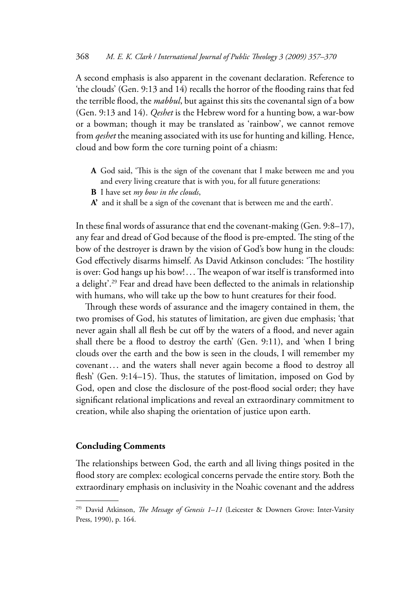A second emphasis is also apparent in the covenant declaration. Reference to 'the clouds' (Gen. 9:13 and 14) recalls the horror of the flooding rains that fed the terrible flood, the *mabbul*, but against this sits the covenantal sign of a bow (Gen. 9:13 and 14). *Qeshet* is the Hebrew word for a hunting bow, a war-bow or a bowman; though it may be translated as 'rainbow', we cannot remove from *qeshet* the meaning associated with its use for hunting and killing. Hence, cloud and bow form the core turning point of a chiasm:

- A God said, 'This is the sign of the covenant that I make between me and you and every living creature that is with you, for all future generations:
- **B** I have set my bow in the clouds,
- A' and it shall be a sign of the covenant that is between me and the earth'.

In these final words of assurance that end the covenant-making (Gen. 9:8-17), any fear and dread of God because of the flood is pre-empted. The sting of the bow of the destroyer is drawn by the vision of God's bow hung in the clouds: God effectively disarms himself. As David Atkinson concludes: 'The hostility is over: God hangs up his bow!... The weapon of war itself is transformed into a delight'.<sup>29</sup> Fear and dread have been deflected to the animals in relationship with humans, who will take up the bow to hunt creatures for their food.

Through these words of assurance and the imagery contained in them, the two promises of God, his statutes of limitation, are given due emphasis; 'that never again shall all flesh be cut off by the waters of a flood, and never again shall there be a flood to destroy the earth' (Gen. 9:11), and 'when I bring clouds over the earth and the bow is seen in the clouds, I will remember my covenant... and the waters shall never again become a flood to destroy all flesh' (Gen. 9:14-15). Thus, the statutes of limitation, imposed on God by God, open and close the disclosure of the post-flood social order; they have significant relational implications and reveal an extraordinary commitment to creation, while also shaping the orientation of justice upon earth.

# **Concluding Comments**

The relationships between God, the earth and all living things posited in the flood story are complex: ecological concerns pervade the entire story. Both the extraordinary emphasis on inclusivity in the Noahic covenant and the address

<sup>&</sup>lt;sup>29)</sup> David Atkinson, *The Message of Genesis 1-11* (Leicester & Downers Grove: Inter-Varsity Press, 1990), p. 164.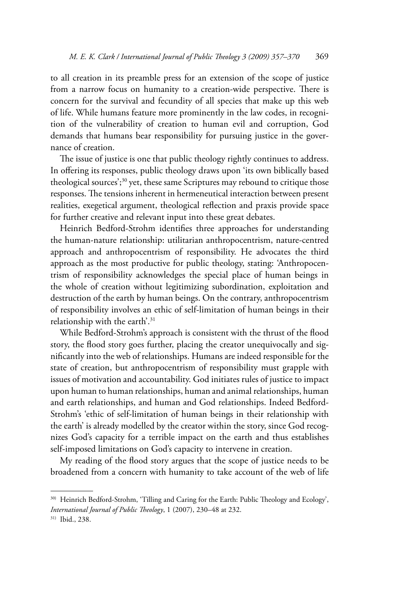to all creation in its preamble press for an extension of the scope of justice from a narrow focus on humanity to a creation-wide perspective. There is concern for the survival and fecundity of all species that make up this web of life. While humans feature more prominently in the law codes, in recognition of the vulnerability of creation to human evil and corruption, God demands that humans bear responsibility for pursuing justice in the governance of creation.

The issue of justice is one that public theology rightly continues to address. In offering its responses, public theology draws upon 'its own biblically based theological sources';<sup>30</sup> yet, these same Scriptures may rebound to critique those responses. The tensions inherent in hermeneutical interaction between present realities, exegetical argument, theological reflection and praxis provide space for further creative and relevant input into these great debates.

Heinrich Bedford-Strohm identifies three approaches for understanding the human-nature relationship: utilitarian anthropocentrism, nature-centred approach and anthropocentrism of responsibility. He advocates the third approach as the most productive for public theology, stating: 'Anthropocentrism of responsibility acknowledges the special place of human beings in the whole of creation without legitimizing subordination, exploitation and destruction of the earth by human beings. On the contrary, anthropocentrism of responsibility involves an ethic of self-limitation of human beings in their relationship with the earth'.<sup>31</sup>

While Bedford-Strohm's approach is consistent with the thrust of the flood story, the flood story goes further, placing the creator unequivocally and significantly into the web of relationships. Humans are indeed responsible for the state of creation, but anthropocentrism of responsibility must grapple with issues of motivation and accountability. God initiates rules of justice to impact upon human to human relationships, human and animal relationships, human and earth relationships, and human and God relationships. Indeed Bedford-Strohm's 'ethic of self-limitation of human beings in their relationship with the earth' is already modelled by the creator within the story, since God recognizes God's capacity for a terrible impact on the earth and thus establishes self-imposed limitations on God's capacity to intervene in creation.

My reading of the flood story argues that the scope of justice needs to be broadened from a concern with humanity to take account of the web of life

<sup>&</sup>lt;sup>30)</sup> Heinrich Bedford-Strohm, 'Tilling and Caring for the Earth: Public Theology and Ecology', International Journal of Public Theology, 1 (2007), 230-48 at 232.

<sup>&</sup>lt;sup>31)</sup> Ibid., 238.